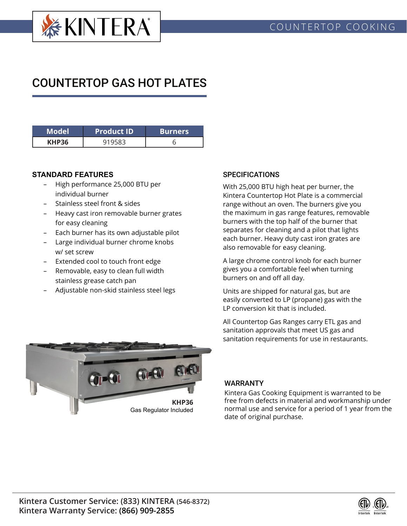

# COUNTERTOP GAS HOT PLATES

| 'Model       | <b>Product ID</b> | <b>Burners</b> |  |  |
|--------------|-------------------|----------------|--|--|
| <b>KHP36</b> |                   |                |  |  |

### **STANDARD FEATURES**

- High performance 25,000 BTU per individual burner
- Stainless steel front & sides
- Heavy cast iron removable burner grates for easy cleaning
- Each burner has its own adjustable pilot
- Large individual burner chrome knobs w/ set screw
- Extended cool to touch front edge
- Removable, easy to clean full width stainless grease catch pan
- Adjustable non-skid stainless steel legs

### **SPECIFICATIONS**

With 25,000 BTU high heat per burner, the Kintera Countertop Hot Plate is a commercial range without an oven. The burners give you the maximum in gas range features, removable burners with the top half of the burner that separates for cleaning and a pilot that lights each burner. Heavy duty cast iron grates are also removable for easy cleaning.

A large chrome control knob for each burner gives you a comfortable feel when turning burners on and off all day.

Units are shipped for natural gas, but are easily converted to LP (propane) gas with the LP conversion kit that is included.

All Countertop Gas Ranges carry ETL gas and sanitation approvals that meet US gas and sanitation requirements for use in restaurants.



#### WARRANTY

Kintera Gas Cooking Equipment is warranted to be free from defects in material and workmanship under normal use and service for a period of 1 year from the date of original purchase.